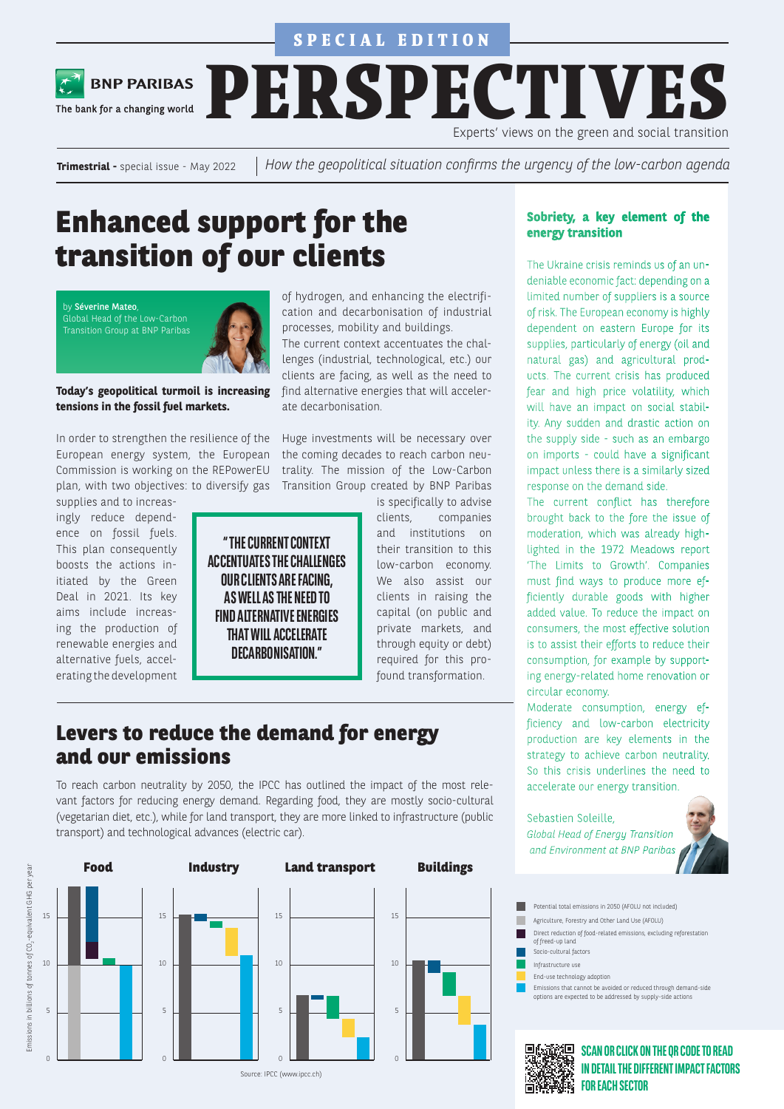

The bank for a changing world

**BNP PARIBAS** 

**PERSPECTIVES** Experts' views on the green and social transition

**Trimestrial -** special issue - May 2022

*How the geopolitical situation confirms the urgency of the low-carbon agenda*

## **Enhanced support for the transition of our clients**

by Séverine Mateo, Global Head of the Low-Carbon Transition Group at BNP Paribas



**Today's geopolitical turmoil is increasing tensions in the fossil fuel markets.** 

In order to strengthen the resilience of the European energy system, the European Commission is working on the REPowerEU plan, with two objectives: to diversify gas supplies and to increas-

ingly reduce dependence on fossil fuels. This plan consequently boosts the actions initiated by the Green Deal in 2021. Its key aims include increasing the production of renewable energies and alternative fuels, accelerating the development

of hydrogen, and enhancing the electrification and decarbonisation of industrial processes, mobility and buildings. The current context accentuates the challenges (industrial, technological, etc.) our clients are facing, as well as the need to find alternative energies that will accelerate decarbonisation.

Huge investments will be necessary over the coming decades to reach carbon neutrality. The mission of the Low-Carbon Transition Group created by BNP Paribas

**" THE CURRENT CONTEXT ACCENTUATES THE CHALLENGES OUR CLIENTS ARE FACING, AS WELL AS THE NEED TO FIND ALTERNATIVE ENERGIES THAT WILL ACCELERATE DECARBONISATION."**

is specifically to advise clients, companies and institutions on their transition to this low-carbon economy. We also assist our clients in raising the capital (on public and private markets, and through equity or debt) required for this profound transformation.

### **Levers to reduce the demand for energy and our emissions**

To reach carbon neutrality by 2050, the IPCC has outlined the impact of the most relevant factors for reducing energy demand. Regarding food, they are mostly socio-cultural (vegetarian diet, etc.), while for land transport, they are more linked to infrastructure (public transport) and technological advances (electric car).



#### **Sobriety, a key element of the energy transition**

The Ukraine crisis reminds us of an undeniable economic fact: depending on a limited number of suppliers is a source of risk. The European economy is highly dependent on eastern Europe for its supplies, particularly of energy (oil and natural gas) and agricultural products. The current crisis has produced fear and high price volatility, which will have an impact on social stability. Any sudden and drastic action on the supply side - such as an embargo on imports - could have a significant impact unless there is a similarly sized response on the demand side.

The current conflict has therefore brought back to the fore the issue of moderation, which was already highlighted in the 1972 Meadows report 'The Limits to Growth'. Companies must find ways to produce more efficiently durable goods with higher added value. To reduce the impact on consumers, the most effective solution is to assist their efforts to reduce their consumption, for example by supporting energy-related home renovation or circular economy.

Moderate consumption, energy efficiency and low-carbon electricity production are key elements in the strategy to achieve carbon neutrality. So this crisis underlines the need to accelerate our energy transition.

Sebastien Soleille, *Global Head of Energy Transition and Environment at BNP Paribas*



- Agriculture, Forestry and Other Land Use (AFOLU) Potential total emissions in 2050 (AFOLU not included)
- Direct reduction of food-related emissions, excluding reforestation г
- of freed-up land Socio-cultural factors
- Infrastructure use
- End-use technology adoption
	- Emissions that cannot be avoided or reduced through demand-side options are expected to be addressed by supply-side actions

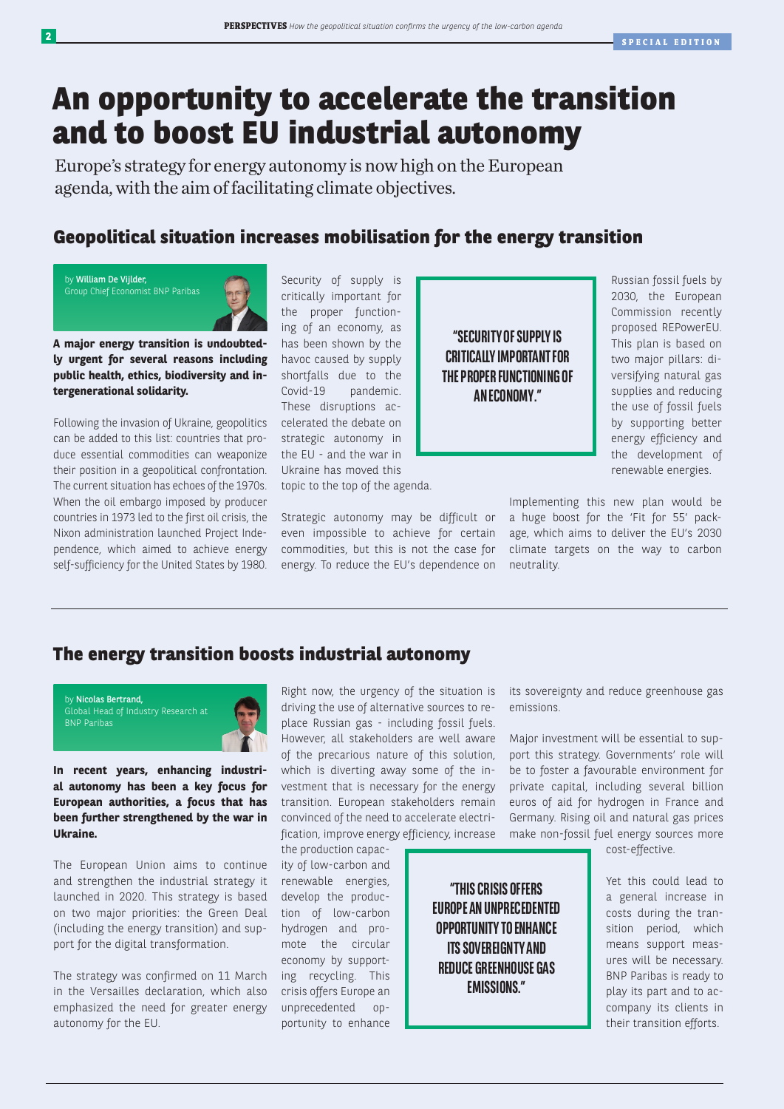## **An opportunity to accelerate the transition and to boost EU industrial autonomy**

Europe's strategy for energy autonomy is now high on the European agenda, with the aim of facilitating climate objectives.

#### **Geopolitical situation increases mobilisation for the energy transition**

by William De Vijlder, Group Chief Economist BNP Paribas

**A major energy transition is undoubtedly urgent for several reasons including public health, ethics, biodiversity and intergenerational solidarity.** 

Following the invasion of Ukraine, geopolitics can be added to this list: countries that produce essential commodities can weaponize their position in a geopolitical confrontation. The current situation has echoes of the 1970s. When the oil embargo imposed by producer countries in 1973 led to the first oil crisis, the Nixon administration launched Project Independence, which aimed to achieve energy self-sufficiency for the United States by 1980.

Security of supply is critically important for the proper functioning of an economy, as has been shown by the havoc caused by supply shortfalls due to the Covid-19 pandemic. These disruptions accelerated the debate on strategic autonomy in the EU - and the war in Ukraine has moved this

topic to the top of the agenda.

Strategic autonomy may be difficult or even impossible to achieve for certain commodities, but this is not the case for energy. To reduce the EU's dependence on

**"SECURITY OF SUPPLY IS CRITICALLY IMPORTANT FOR THE PROPER FUNCTIONING OF AN ECONOMY."**

**"THIS CRISIS OFFERS EUROPE AN UNPRECEDENTED OPPORTUNITY TO ENHANCE ITS SOVEREIGNTY AND REDUCE GREENHOUSE GAS EMISSIONS."**

Russian fossil fuels by 2030, the European Commission recently proposed REPowerEU. This plan is based on two major pillars: diversifying natural gas supplies and reducing the use of fossil fuels by supporting better energy efficiency and the development of renewable energies.

Implementing this new plan would be a huge boost for the 'Fit for 55' package, which aims to deliver the EU's 2030 climate targets on the way to carbon neutrality.

#### **The energy transition boosts industrial autonomy**



**In recent years, enhancing industrial autonomy has been a key focus for European authorities, a focus that has been further strengthened by the war in Ukraine.** 

The European Union aims to continue and strengthen the industrial strategy it launched in 2020. This strategy is based on two major priorities: the Green Deal (including the energy transition) and support for the digital transformation.

The strategy was confirmed on 11 March in the Versailles declaration, which also emphasized the need for greater energy autonomy for the EU.

Right now, the urgency of the situation is driving the use of alternative sources to replace Russian gas - including fossil fuels. However, all stakeholders are well aware of the precarious nature of this solution, which is diverting away some of the investment that is necessary for the energy transition. European stakeholders remain convinced of the need to accelerate electrification, improve energy efficiency, increase

the production capacity of low-carbon and renewable energies, develop the production of low-carbon hydrogen and promote the circular economy by supporting recycling. This crisis offers Europe an unprecedented opportunity to enhance

its sovereignty and reduce greenhouse gas emissions.

Major investment will be essential to support this strategy. Governments' role will be to foster a favourable environment for private capital, including several billion euros of aid for hydrogen in France and Germany. Rising oil and natural gas prices make non-fossil fuel energy sources more

cost-effective.

Yet this could lead to a general increase in costs during the transition period, which means support measures will be necessary. BNP Paribas is ready to play its part and to accompany its clients in their transition efforts.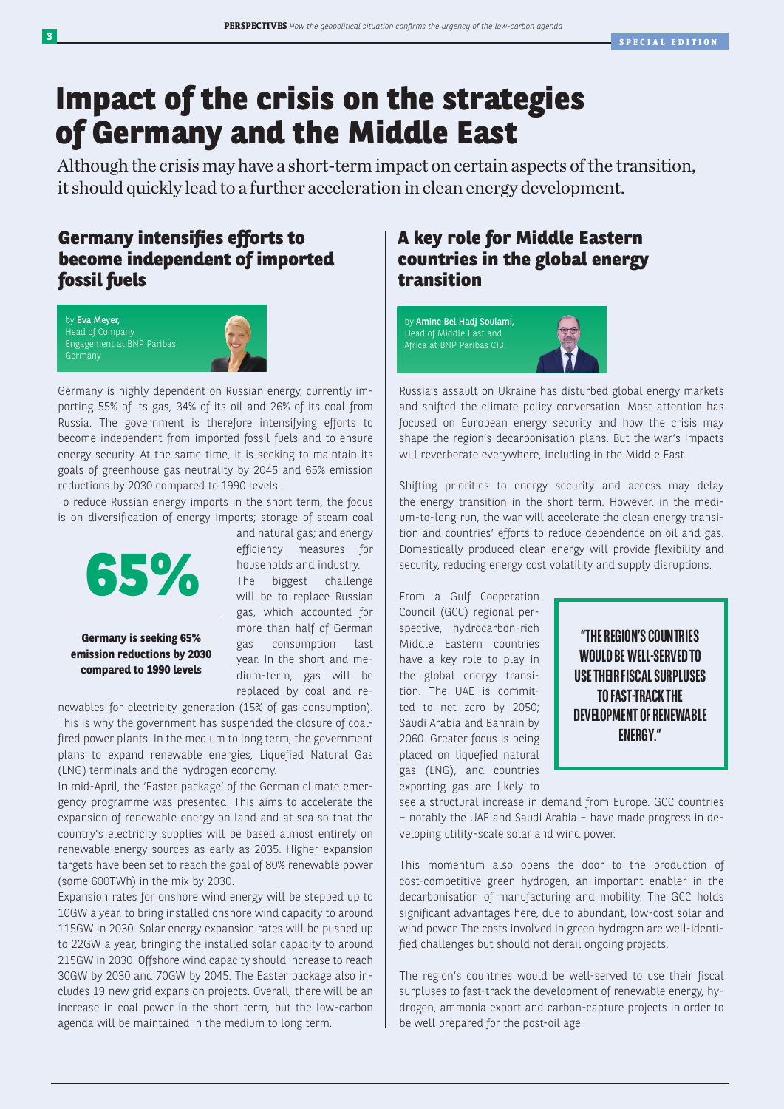## **Impact of the crisis on the strategies of Germany and the Middle East**

Although the crisis may have a short-term impact on certain aspects of the transition, it should quickly lead to a further acceleration in clean energy development.

### **Germany intensifies efforts to become independent of imported fossil fuels**





Germany is highly dependent on Russian energy, currently importing 55% of its gas, 34% of its oil and 26% of its coal from Russia. The government is therefore intensifying efforts to become independent from imported fossil fuels and to ensure energy security. At the same time, it is seeking to maintain its goals of greenhouse gas neutrality by 2045 and 65% emission reductions by 2030 compared to 1990 levels.

To reduce Russian energy imports in the short term, the focus is on diversification of energy imports; storage of steam coal



**Germany is seeking 65% emission reductions by 2030 compared to 1990 levels**

and natural gas; and energy efficiency measures for households and industry.

The biggest challenge will be to replace Russian gas, which accounted for more than half of German gas consumption last year. In the short and medium-term, gas will be replaced by coal and re-

newables for electricity generation (15% of gas consumption). This is why the government has suspended the closure of coalfired power plants. In the medium to long term, the government plans to expand renewable energies, Liquefied Natural Gas (LNG) terminals and the hydrogen economy.

In mid-April, the 'Easter package' of the German climate emergency programme was presented. This aims to accelerate the expansion of renewable energy on land and at sea so that the country's electricity supplies will be based almost entirely on renewable energy sources as early as 2035. Higher expansion targets have been set to reach the goal of 80% renewable power (some 600TWh) in the mix by 2030.

Expansion rates for onshore wind energy will be stepped up to 10GW a year, to bring installed onshore wind capacity to around 115GW in 2030. Solar energy expansion rates will be pushed up to 22GW a year, bringing the installed solar capacity to around 215GW in 2030. Offshore wind capacity should increase to reach 30GW by 2030 and 70GW by 2045. The Easter package also includes 19 new grid expansion projects. Overall, there will be an increase in coal power in the short term, but the low-carbon agenda will be maintained in the medium to long term.

### **A key role for Middle Eastern countries in the global energy transition**



Russia's assault on Ukraine has disturbed global energy markets and shifted the climate policy conversation. Most attention has focused on European energy security and how the crisis may shape the region's decarbonisation plans. But the war's impacts will reverberate everywhere, including in the Middle East.

Shifting priorities to energy security and access may delay the energy transition in the short term. However, in the medium-to-long run, the war will accelerate the clean energy transition and countries' efforts to reduce dependence on oil and gas. Domestically produced clean energy will provide flexibility and security, reducing energy cost volatility and supply disruptions.

From a Gulf Cooperation Council (GCC) regional perspective, hydrocarbon-rich Middle Eastern countries have a key role to play in the global energy transition. The UAE is committed to net zero by 2050; Saudi Arabia and Bahrain by 2060. Greater focus is being placed on liquefied natural gas (LNG), and countries exporting gas are likely to



see a structural increase in demand from Europe. GCC countries – notably the UAE and Saudi Arabia – have made progress in developing utility-scale solar and wind power.

This momentum also opens the door to the production of cost-competitive green hydrogen, an important enabler in the decarbonisation of manufacturing and mobility. The GCC holds significant advantages here, due to abundant, low-cost solar and wind power. The costs involved in green hydrogen are well-identified challenges but should not derail ongoing projects.

The region's countries would be well-served to use their fiscal surpluses to fast-track the development of renewable energy, hydrogen, ammonia export and carbon-capture projects in order to be well prepared for the post-oil age.